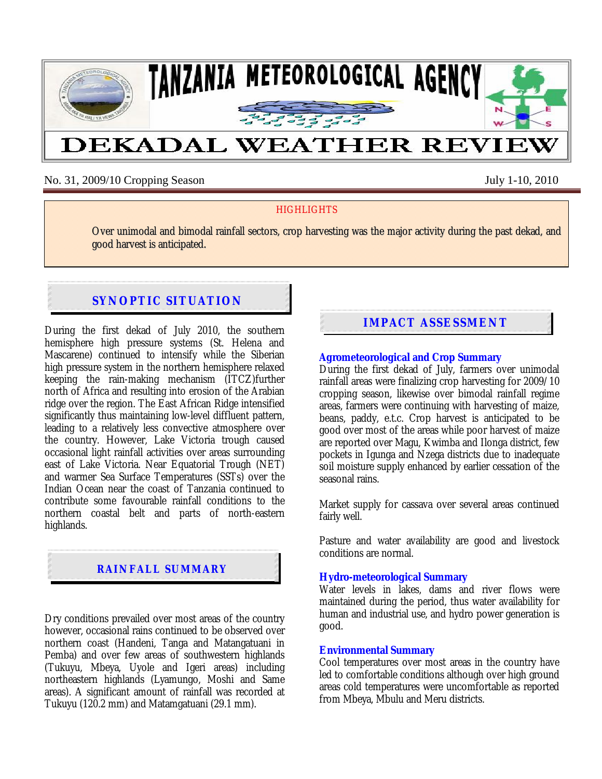

No. 31, 2009/10 Cropping Season July 1-10, 2010

## **HIGHLIGHTS**

Over unimodal and bimodal rainfall sectors, crop harvesting was the major activity during the past dekad, and good harvest is anticipated.

# **SYNOPTIC SITUATION**

During the first dekad of July 2010, the southern hemisphere high pressure systems (St. Helena and Mascarene) continued to intensify while the Siberian high pressure system in the northern hemisphere relaxed keeping the rain-making mechanism (ITCZ)further north of Africa and resulting into erosion of the Arabian ridge over the region. The East African Ridge intensified significantly thus maintaining low-level diffluent pattern, leading to a relatively less convective atmosphere over the country. However, Lake Victoria trough caused occasional light rainfall activities over areas surrounding east of Lake Victoria. Near Equatorial Trough (NET) and warmer Sea Surface Temperatures (SSTs) over the Indian Ocean near the coast of Tanzania continued to contribute some favourable rainfall conditions to the northern coastal belt and parts of north-eastern highlands.

# **RAINFALL SUMMARY**

Dry conditions prevailed over most areas of the country however, occasional rains continued to be observed over northern coast (Handeni, Tanga and Matangatuani in Pemba) and over few areas of southwestern highlands (Tukuyu, Mbeya, Uyole and Igeri areas) including northeastern highlands (Lyamungo, Moshi and Same areas). A significant amount of rainfall was recorded at Tukuyu (120.2 mm) and Matamgatuani (29.1 mm).

# **IMPACT ASSESSMENT**

#### **Agrometeorological and Crop Summary**

During the first dekad of July, farmers over unimodal rainfall areas were finalizing crop harvesting for 2009/10 cropping season, likewise over bimodal rainfall regime areas, farmers were continuing with harvesting of maize, beans, paddy, e.t.c. Crop harvest is anticipated to be good over most of the areas while poor harvest of maize are reported over Magu, Kwimba and Ilonga district, few pockets in Igunga and Nzega districts due to inadequate soil moisture supply enhanced by earlier cessation of the seasonal rains.

Market supply for cassava over several areas continued fairly well.

Pasture and water availability are good and livestock conditions are normal.

#### **Hydro-meteorological Summary**

Water levels in lakes, dams and river flows were maintained during the period, thus water availability for human and industrial use, and hydro power generation is good.

#### **Environmental Summary**

Cool temperatures over most areas in the country have led to comfortable conditions although over high ground areas cold temperatures were uncomfortable as reported from Mbeya, Mbulu and Meru districts.